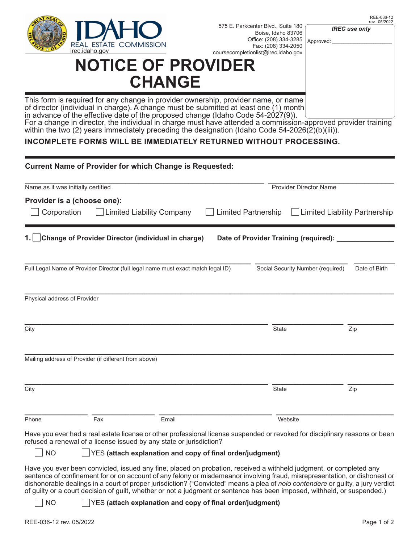

REE-036-12

Approved: 575 E. Parkcenter Blvd., Suite 180 Boise, Idaho 83706 Office: (208) 334-3285 Fax: (208) 334-2050 irec.idaho.gov interesting of the coursecompletionlist@irec.idaho.gov

*IREC use only*

## **NOTICE OF PROVIDER CHANGE**

This form is required for any change in provider ownership, provider name, or name of director (individual in charge). A change must be submitted at least one (1) month in advance of the effective date of the proposed change (Idaho Code 54-2027(9)).

For a change in director, the individual in charge must have attended a commission-approved provider training within the two (2) years immediately preceding the designation (Idaho Code 54-2026(2)(b)(iii)).

## **INCOMPLETE FORMS WILL BE IMMEDIATELY RETURNED WITHOUT PROCESSING.**

| <b>Current Name of Provider for which Change is Requested:</b>                                                                                                                                                  |                                                           |                                                               |               |  |  |  |
|-----------------------------------------------------------------------------------------------------------------------------------------------------------------------------------------------------------------|-----------------------------------------------------------|---------------------------------------------------------------|---------------|--|--|--|
| Name as it was initially certified                                                                                                                                                                              |                                                           | <b>Provider Director Name</b>                                 |               |  |  |  |
| Provider is a (choose one):<br>Corporation<br>Limited Liability Company                                                                                                                                         |                                                           | <b>Limited Partnership</b><br>  Limited Liability Partnership |               |  |  |  |
| Change of Provider Director (individual in charge)                                                                                                                                                              |                                                           | Date of Provider Training (required):                         |               |  |  |  |
| Full Legal Name of Provider Director (full legal name must exact match legal ID)                                                                                                                                |                                                           | Social Security Number (required)                             | Date of Birth |  |  |  |
| Physical address of Provider                                                                                                                                                                                    |                                                           |                                                               |               |  |  |  |
| City                                                                                                                                                                                                            |                                                           | <b>State</b>                                                  | Zip           |  |  |  |
| Mailing address of Provider (if different from above)                                                                                                                                                           |                                                           |                                                               |               |  |  |  |
| City                                                                                                                                                                                                            |                                                           | <b>State</b>                                                  | Zip           |  |  |  |
| Phone<br>Fax                                                                                                                                                                                                    | Email                                                     | Website                                                       |               |  |  |  |
| Have you ever had a real estate license or other professional license suspended or revoked for disciplinary reasons or been<br>refused a renewal of a license issued by any state or jurisdiction?<br><b>NO</b> | YES (attach explanation and copy of final order/judgment) |                                                               |               |  |  |  |

Have you ever been convicted, issued any fine, placed on probation, received a withheld judgment, or completed any sentence of confinement for or on account of any felony or misdemeanor involving fraud, misrepresentation, or dishonest or dishonorable dealings in a court of proper jurisdiction? ("Convicted" means a plea of *nolo contendere* or guilty, a jury verdict of guilty or a court decision of guilt, whether or not a judgment or sentence has been imposed, withheld, or suspended.)

NO YES **(attach explanation and copy of final order/judgment)**